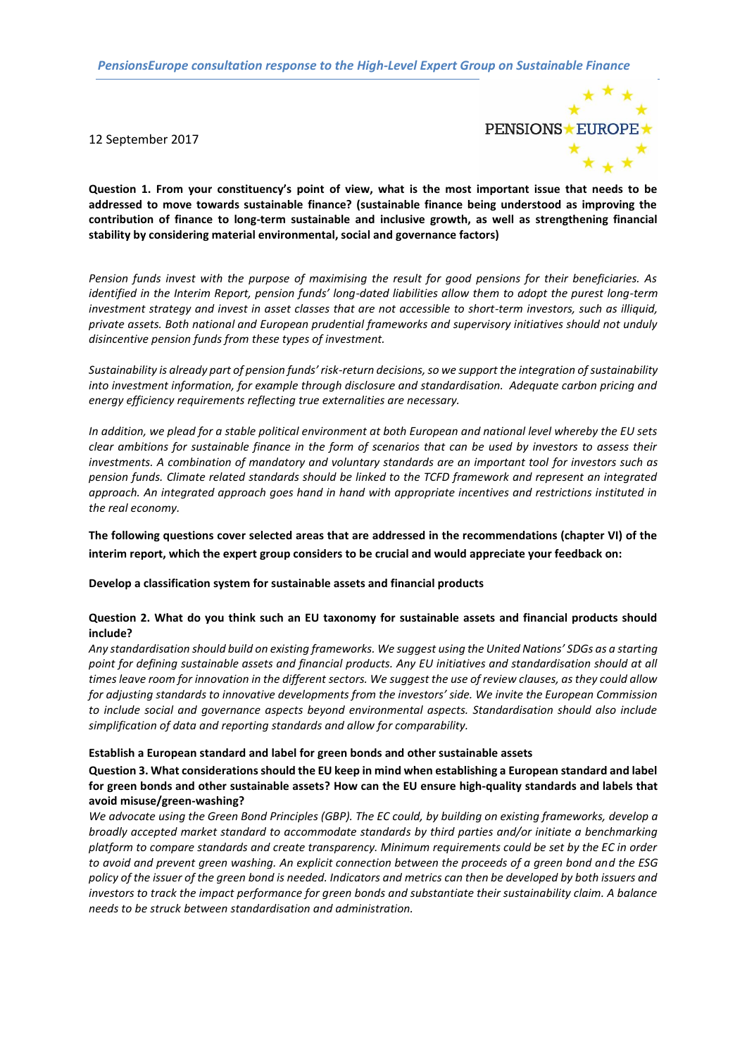*PensionsEurope consultation response to the High-Level Expert Group on Sustainable Finance*

12 September 2017



**Question 1. From your constituency's point of view, what is the most important issue that needs to be addressed to move towards sustainable finance? (sustainable finance being understood as improving the contribution of finance to long-term sustainable and inclusive growth, as well as strengthening financial stability by considering material environmental, social and governance factors)** 

*Pension funds invest with the purpose of maximising the result for good pensions for their beneficiaries. As identified in the Interim Report, pension funds' long-dated liabilities allow them to adopt the purest long-term investment strategy and invest in asset classes that are not accessible to short-term investors, such as illiquid, private assets. Both national and European prudential frameworks and supervisory initiatives should not unduly disincentive pension funds from these types of investment.*

*Sustainability is already part of pension funds' risk-return decisions, so we support the integration of sustainability into investment information, for example through disclosure and standardisation. Adequate carbon pricing and energy efficiency requirements reflecting true externalities are necessary.*

*In addition, we plead for a stable political environment at both European and national level whereby the EU sets clear ambitions for sustainable finance in the form of scenarios that can be used by investors to assess their investments. A combination of mandatory and voluntary standards are an important tool for investors such as pension funds. Climate related standards should be linked to the TCFD framework and represent an integrated approach. An integrated approach goes hand in hand with appropriate incentives and restrictions instituted in the real economy.* 

**The following questions cover selected areas that are addressed in the recommendations (chapter VI) of the interim report, which the expert group considers to be crucial and would appreciate your feedback on:**

**Develop a classification system for sustainable assets and financial products**

# **Question 2. What do you think such an EU taxonomy for sustainable assets and financial products should include?**

*Any standardisation should build on existing frameworks. We suggest using the United Nations' SDGs as a starting point for defining sustainable assets and financial products. Any EU initiatives and standardisation should at all times leave room for innovation in the different sectors. We suggest the use of review clauses, as they could allow for adjusting standards to innovative developments from the investors' side. We invite the European Commission to include social and governance aspects beyond environmental aspects. Standardisation should also include simplification of data and reporting standards and allow for comparability.* 

# **Establish a European standard and label for green bonds and other sustainable assets**

# **Question 3. What considerations should the EU keep in mind when establishing a European standard and label for green bonds and other sustainable assets? How can the EU ensure high-quality standards and labels that avoid misuse/green-washing?**

*We advocate using the Green Bond Principles (GBP). The EC could, by building on existing frameworks, develop a broadly accepted market standard to accommodate standards by third parties and/or initiate a benchmarking platform to compare standards and create transparency. Minimum requirements could be set by the EC in order to avoid and prevent green washing. An explicit connection between the proceeds of a green bond and the ESG policy of the issuer of the green bond is needed. Indicators and metrics can then be developed by both issuers and investors to track the impact performance for green bonds and substantiate their sustainability claim. A balance needs to be struck between standardisation and administration.*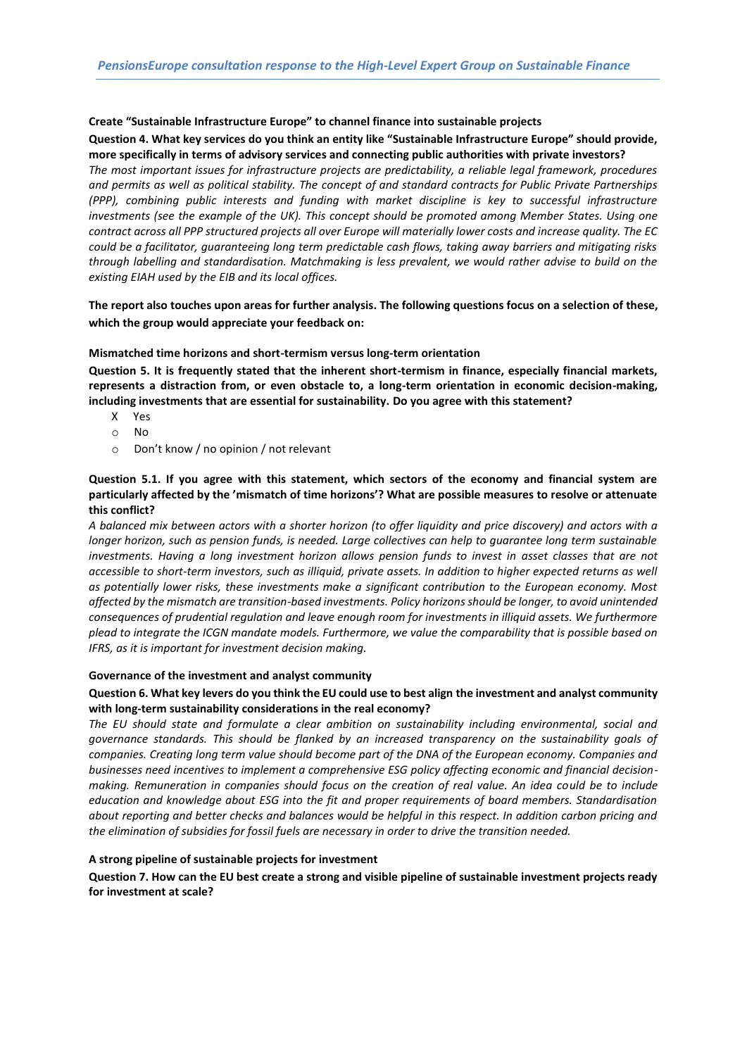# **Create "Sustainable Infrastructure Europe" to channel finance into sustainable projects**

## **Question 4. What key services do you think an entity like "Sustainable Infrastructure Europe" should provide, more specifically in terms of advisory services and connecting public authorities with private investors?**

*The most important issues for infrastructure projects are predictability, a reliable legal framework, procedures and permits as well as political stability. The concept of and standard contracts for Public Private Partnerships (PPP), combining public interests and funding with market discipline is key to successful infrastructure investments (see the example of the UK). This concept should be promoted among Member States. Using one contract across all PPP structured projects all over Europe will materially lower costs and increase quality. The EC could be a facilitator, guaranteeing long term predictable cash flows, taking away barriers and mitigating risks through labelling and standardisation. Matchmaking is less prevalent, we would rather advise to build on the existing EIAH used by the EIB and its local offices.* 

# **The report also touches upon areas for further analysis. The following questions focus on a selection of these, which the group would appreciate your feedback on:**

## **Mismatched time horizons and short-termism versus long-term orientation**

**Question 5. It is frequently stated that the inherent short-termism in finance, especially financial markets, represents a distraction from, or even obstacle to, a long-term orientation in economic decision-making, including investments that are essential for sustainability. Do you agree with this statement?**

- X Yes
- o No
- o Don't know / no opinion / not relevant

# **Question 5.1. If you agree with this statement, which sectors of the economy and financial system are particularly affected by the 'mismatch of time horizons'? What are possible measures to resolve or attenuate this conflict?**

*A balanced mix between actors with a shorter horizon (to offer liquidity and price discovery) and actors with a longer horizon, such as pension funds, is needed. Large collectives can help to guarantee long term sustainable investments. Having a long investment horizon allows pension funds to invest in asset classes that are not accessible to short-term investors, such as illiquid, private assets. In addition to higher expected returns as well as potentially lower risks, these investments make a significant contribution to the European economy. Most affected by the mismatch are transition-based investments. Policy horizons should be longer, to avoid unintended consequences of prudential regulation and leave enough room for investments in illiquid assets. We furthermore plead to integrate the ICGN mandate models. Furthermore, we value the comparability that is possible based on IFRS, as it is important for investment decision making.* 

#### **Governance of the investment and analyst community**

# **Question 6. What key levers do you think the EU could use to best align the investment and analyst community with long-term sustainability considerations in the real economy?**

*The EU should state and formulate a clear ambition on sustainability including environmental, social and governance standards. This should be flanked by an increased transparency on the sustainability goals of companies. Creating long term value should become part of the DNA of the European economy. Companies and businesses need incentives to implement a comprehensive ESG policy affecting economic and financial decisionmaking. Remuneration in companies should focus on the creation of real value. An idea could be to include education and knowledge about ESG into the fit and proper requirements of board members. Standardisation about reporting and better checks and balances would be helpful in this respect. In addition carbon pricing and the elimination of subsidies for fossil fuels are necessary in order to drive the transition needed.* 

# **A strong pipeline of sustainable projects for investment**

# **Question 7. How can the EU best create a strong and visible pipeline of sustainable investment projects ready for investment at scale?**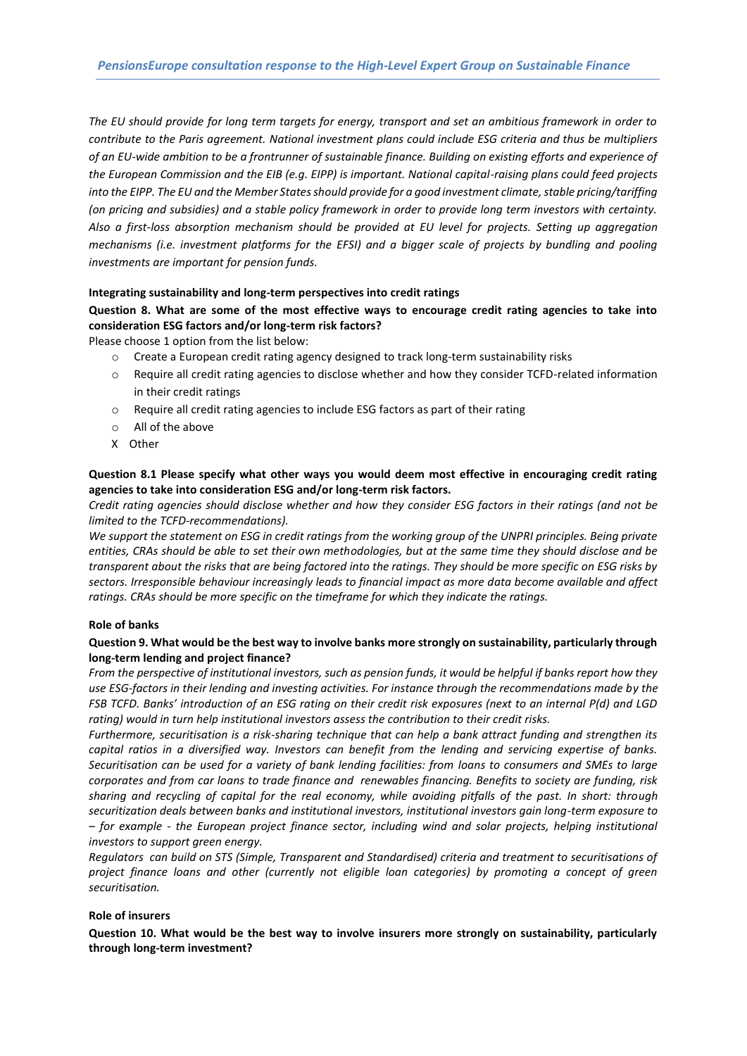*The EU should provide for long term targets for energy, transport and set an ambitious framework in order to contribute to the Paris agreement. National investment plans could include ESG criteria and thus be multipliers of an EU-wide ambition to be a frontrunner of sustainable finance. Building on existing efforts and experience of the European Commission and the EIB (e.g. EIPP) is important. National capital-raising plans could feed projects into the EIPP. The EU and the Member States should provide for a good investment climate, stable pricing/tariffing (on pricing and subsidies) and a stable policy framework in order to provide long term investors with certainty. Also a first-loss absorption mechanism should be provided at EU level for projects. Setting up aggregation mechanisms (i.e. investment platforms for the EFSI) and a bigger scale of projects by bundling and pooling investments are important for pension funds.* 

#### **Integrating sustainability and long-term perspectives into credit ratings**

# **Question 8. What are some of the most effective ways to encourage credit rating agencies to take into consideration ESG factors and/or long-term risk factors?**

Please choose 1 option from the list below:

- $\circ$  Create a European credit rating agency designed to track long-term sustainability risks
- o Require all credit rating agencies to disclose whether and how they consider TCFD-related information in their credit ratings
- o Require all credit rating agencies to include ESG factors as part of their rating
- o All of the above
- X Other

# **Question 8.1 Please specify what other ways you would deem most effective in encouraging credit rating agencies to take into consideration ESG and/or long-term risk factors.**

*Credit rating agencies should disclose whether and how they consider ESG factors in their ratings (and not be limited to the TCFD-recommendations).*

*We support the statement on ESG in credit ratings from the working group of the UNPRI principles. Being private entities, CRAs should be able to set their own methodologies, but at the same time they should disclose and be transparent about the risks that are being factored into the ratings. They should be more specific on ESG risks by sectors. Irresponsible behaviour increasingly leads to financial impact as more data become available and affect ratings. CRAs should be more specific on the timeframe for which they indicate the ratings.* 

#### **Role of banks**

## **Question 9. What would be the best way to involve banks more strongly on sustainability, particularly through long-term lending and project finance?**

*From the perspective of institutional investors, such as pension funds, it would be helpful if banks report how they use ESG-factors in their lending and investing activities. For instance through the recommendations made by the FSB TCFD. Banks' introduction of an ESG rating on their credit risk exposures (next to an internal P(d) and LGD rating) would in turn help institutional investors assess the contribution to their credit risks.* 

*Furthermore, securitisation is a risk-sharing technique that can help a bank attract funding and strengthen its capital ratios in a diversified way. Investors can benefit from the lending and servicing expertise of banks. Securitisation can be used for a variety of bank lending facilities: from loans to consumers and SMEs to large corporates and from car loans to trade finance and renewables financing. Benefits to society are funding, risk sharing and recycling of capital for the real economy, while avoiding pitfalls of the past. In short: through securitization deals between banks and institutional investors, institutional investors gain long-term exposure to – for example - the European project finance sector, including wind and solar projects, helping institutional investors to support green energy.*

*Regulators can build on STS (Simple, Transparent and Standardised) criteria and treatment to securitisations of project finance loans and other (currently not eligible loan categories) by promoting a concept of green securitisation.*

#### **Role of insurers**

**Question 10. What would be the best way to involve insurers more strongly on sustainability, particularly through long-term investment?**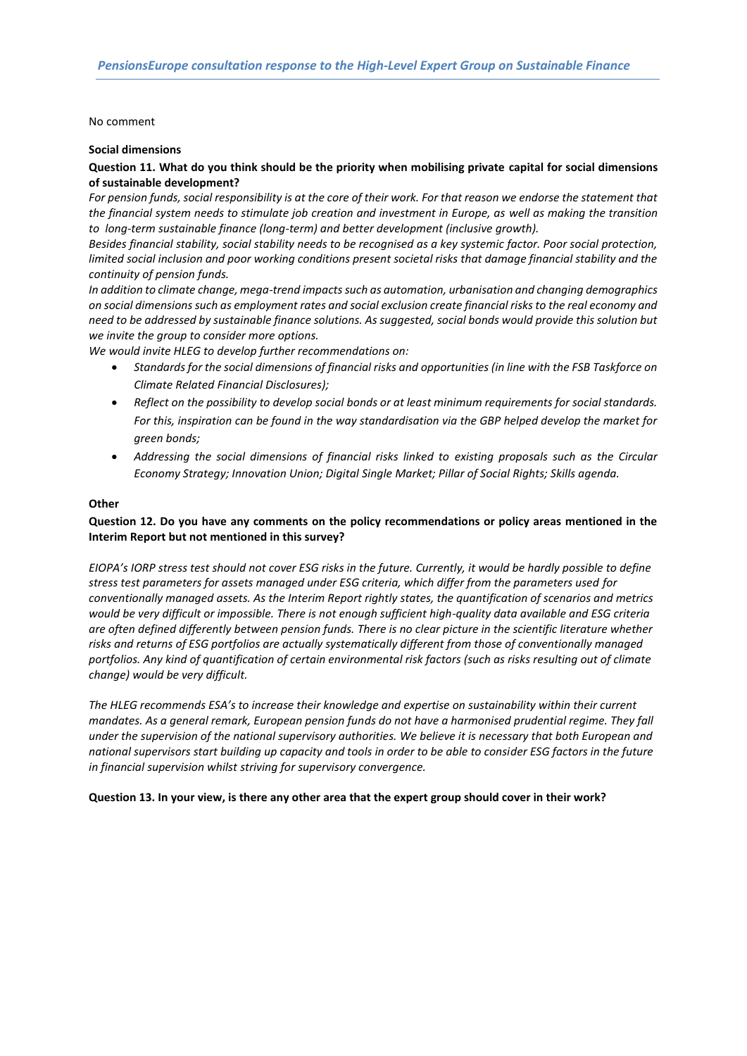#### No comment

#### **Social dimensions**

# **Question 11. What do you think should be the priority when mobilising private capital for social dimensions of sustainable development?**

For pension funds, social responsibility is at the core of their work. For that reason we endorse the statement that *the financial system needs to stimulate job creation and investment in Europe, as well as making the transition to long-term sustainable finance (long-term) and better development (inclusive growth).* 

*Besides financial stability, social stability needs to be recognised as a key systemic factor. Poor social protection, limited social inclusion and poor working conditions present societal risks that damage financial stability and the continuity of pension funds.* 

*In addition to climate change, mega-trend impacts such as automation, urbanisation and changing demographics on social dimensions such as employment rates and social exclusion create financial risks to the real economy and need to be addressed by sustainable finance solutions. As suggested, social bonds would provide this solution but we invite the group to consider more options.*

*We would invite HLEG to develop further recommendations on:*

- *Standards for the social dimensions of financial risks and opportunities (in line with the FSB Taskforce on Climate Related Financial Disclosures);*
- *Reflect on the possibility to develop social bonds or at least minimum requirements for social standards. For this, inspiration can be found in the way standardisation via the GBP helped develop the market for green bonds;*
- *Addressing the social dimensions of financial risks linked to existing proposals such as the Circular Economy Strategy; Innovation Union; Digital Single Market; Pillar of Social Rights; Skills agenda.*

### **Other**

# **Question 12. Do you have any comments on the policy recommendations or policy areas mentioned in the Interim Report but not mentioned in this survey?**

*EIOPA's IORP stress test should not cover ESG risks in the future. Currently, it would be hardly possible to define stress test parameters for assets managed under ESG criteria, which differ from the parameters used for conventionally managed assets. As the Interim Report rightly states, the quantification of scenarios and metrics would be very difficult or impossible. There is not enough sufficient high-quality data available and ESG criteria are often defined differently between pension funds. There is no clear picture in the scientific literature whether risks and returns of ESG portfolios are actually systematically different from those of conventionally managed portfolios. Any kind of quantification of certain environmental risk factors (such as risks resulting out of climate change) would be very difficult.*

*The HLEG recommends ESA's to increase their knowledge and expertise on sustainability within their current mandates. As a general remark, European pension funds do not have a harmonised prudential regime. They fall under the supervision of the national supervisory authorities. We believe it is necessary that both European and national supervisors start building up capacity and tools in order to be able to consider ESG factors in the future in financial supervision whilst striving for supervisory convergence.* 

**Question 13. In your view, is there any other area that the expert group should cover in their work?**